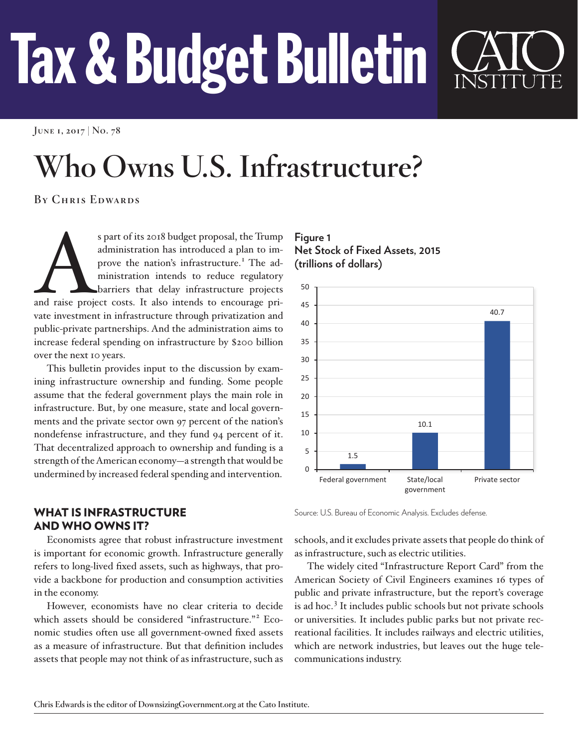# Tax & Budget Bulletin

**June 1, 2017 | No. 78**

# **Who Owns U.S. Infrastructure?**

**By Chris Edwards**

s part of its 2018 budget proposal, the Trump<br>administration has introduced a plan to im-<br>prove the nation's infrastructure.<sup>I</sup> The ad-<br>ministration intends to reduce regulatory<br>barriers that delay infrastructure projects<br> administration has introduced a plan to improve the nation's infrastructure.<sup>1</sup> The administration intends to reduce regulatory barriers that delay infrastructure projects vate investment in infrastructure through privatization and public-private partnerships. And the administration aims to increase federal spending on infrastructure by \$200 billion over the next 10 years.

This bulletin provides input to the discussion by examining infrastructure ownership and funding. Some people assume that the federal government plays the main role in infrastructure. But, by one measure, state and local governments and the private sector own 97 percent of the nation's nondefense infrastructure, and they fund 94 percent of it. That decentralized approach to ownership and funding is a strength of the American economy—a strength that would be undermined by increased federal spending and intervention.

# WHAT IS INFRASTRUCTURE AND WHO OWNS IT?

Economists agree that robust infrastructure investment is important for economic growth. Infrastructure generally refers to long-lived fixed assets, such as highways, that provide a backbone for production and consumption activities in the economy.

However, economists have no clear criteria to decide which assets should be considered "infrastructure."<sup>[2](#page-4-1)</sup> Economic studies often use all government-owned fixed assets as a measure of infrastructure. But that definition includes assets that people may not think of as infrastructure, such as

**Figure 1 Net Stock of Fixed Assets, 2015 (trillions of dollars)**



Source: U.S. Bureau of Economic Analysis. Excludes defense.

schools, and it excludes private assets that people do think of as infrastructure, such as electric utilities.

The widely cited "Infrastructure Report Card" from the American Society of Civil Engineers examines 16 types of public and private infrastructure, but the report's coverage is ad hoc.<sup>[3](#page-5-0)</sup> It includes public schools but not private schools or universities. It includes public parks but not private recreational facilities. It includes railways and electric utilities, which are network industries, but leaves out the huge telecommunications industry.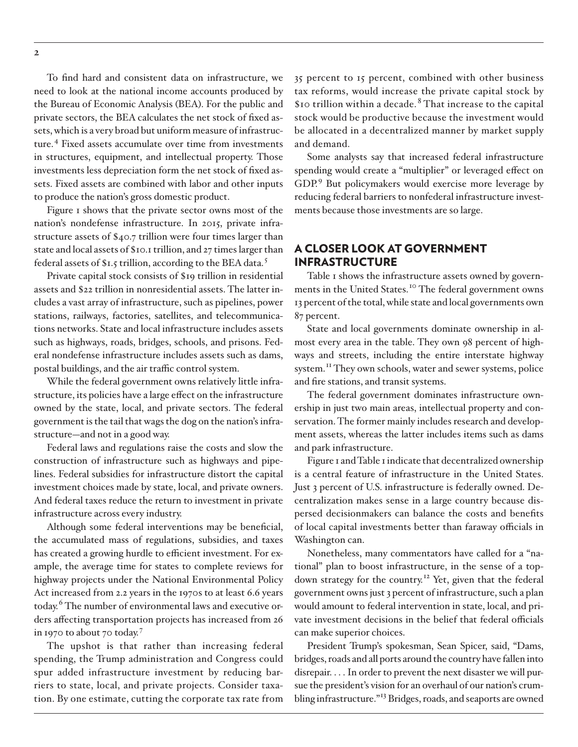To find hard and consistent data on infrastructure, we need to look at the national income accounts produced by the Bureau of Economic Analysis (BEA). For the public and private sectors, the BEA calculates the net stock of fixed assets, which is a very broad but uniform measure of infrastruc-ture.<sup>[4](#page-5-1)</sup> Fixed assets accumulate over time from investments in structures, equipment, and intellectual property. Those investments less depreciation form the net stock of fixed assets. Fixed assets are combined with labor and other inputs to produce the nation's gross domestic product.

Figure 1 shows that the private sector owns most of the nation's nondefense infrastructure. In 2015, private infrastructure assets of \$40.7 trillion were four times larger than state and local assets of \$10.1 trillion, and 27 times larger than federal assets of \$1.5 trillion, according to the BEA data.[5](#page-5-2)

Private capital stock consists of \$19 trillion in residential assets and \$22 trillion in nonresidential assets. The latter includes a vast array of infrastructure, such as pipelines, power stations, railways, factories, satellites, and telecommunications networks. State and local infrastructure includes assets such as highways, roads, bridges, schools, and prisons. Federal nondefense infrastructure includes assets such as dams, postal buildings, and the air traffic control system.

While the federal government owns relatively little infrastructure, its policies have a large effect on the infrastructure owned by the state, local, and private sectors. The federal government is the tail that wags the dog on the nation's infrastructure—and not in a good way.

Federal laws and regulations raise the costs and slow the construction of infrastructure such as highways and pipelines. Federal subsidies for infrastructure distort the capital investment choices made by state, local, and private owners. And federal taxes reduce the return to investment in private infrastructure across every industry.

Although some federal interventions may be beneficial, the accumulated mass of regulations, subsidies, and taxes has created a growing hurdle to efficient investment. For example, the average time for states to complete reviews for highway projects under the National Environmental Policy Act increased from 2.2 years in the 1970s to at least 6.6 years today.[6](#page-5-3) The number of environmental laws and executive orders affecting transportation projects has increased from 26 in 1970 to about 70 today. [7](#page-5-4)

The upshot is that rather than increasing federal spending, the Trump administration and Congress could spur added infrastructure investment by reducing barriers to state, local, and private projects. Consider taxation. By one estimate, cutting the corporate tax rate from

35 percent to 15 percent, combined with other business tax reforms, would increase the private capital stock by \$10 trillion within a decade. [8](#page-5-5) That increase to the capital stock would be productive because the investment would be allocated in a decentralized manner by market supply and demand.

Some analysts say that increased federal infrastructure spending would create a "multiplier" or leveraged effect on GDP.<sup>9</sup> But policymakers would exercise more leverage by reducing federal barriers to nonfederal infrastructure investments because those investments are so large.

#### A CLOSER LOOK AT GOVERNMENT INFRASTRUCTURE

Table 1 shows the infrastructure assets owned by governments in the United States. [10](#page-5-7) The federal government owns 13 percent of the total, while state and local governments own 87 percent.

State and local governments dominate ownership in almost every area in the table. They own 98 percent of highways and streets, including the entire interstate highway system.<sup>II</sup> They own schools, water and sewer systems, police and fire stations, and transit systems.

The federal government dominates infrastructure ownership in just two main areas, intellectual property and conservation. The former mainly includes research and development assets, whereas the latter includes items such as dams and park infrastructure.

Figure 1 and Table 1 indicate that decentralized ownership is a central feature of infrastructure in the United States. Just 3 percent of U.S. infrastructure is federally owned. Decentralization makes sense in a large country because dispersed decisionmakers can balance the costs and benefits of local capital investments better than faraway officials in Washington can.

Nonetheless, many commentators have called for a "national" plan to boost infrastructure, in the sense of a top-down strategy for the country.<sup>[12](#page-5-9)</sup> Yet, given that the federal government owns just 3 percent of infrastructure, such a plan would amount to federal intervention in state, local, and private investment decisions in the belief that federal officials can make superior choices.

President Trump's spokesman, Sean Spicer, said, "Dams, bridges, roads and all ports around the country have fallen into disrepair. . . . In order to prevent the next disaster we will pursue the president's vision for an overhaul of our nation's crumbling infrastructure."<sup>13</sup> Bridges, roads, and seaports are owned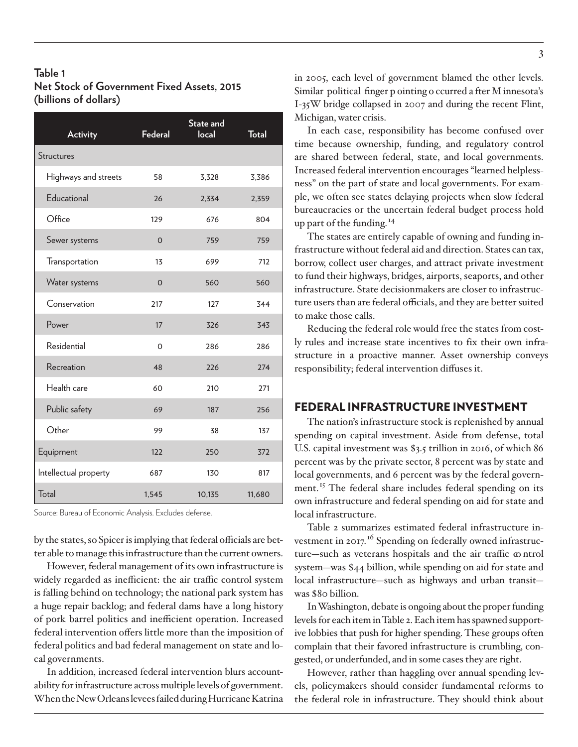### **Table 1 Net Stock of Government Fixed Assets, 2015 (billions of dollars)**

| <b>Activity</b>       | Federal        | <b>State and</b><br>local | <b>Total</b> |
|-----------------------|----------------|---------------------------|--------------|
| <b>Structures</b>     |                |                           |              |
| Highways and streets  | 58             | 3,328                     | 3,386        |
| Educational           | 26             | 2,334                     | 2,359        |
| Office                | 129            | 676                       | 804          |
| Sewer systems         | $\Omega$       | 759                       | 759          |
| Transportation        | 13             | 699                       | 712          |
| Water systems         | $\overline{0}$ | 560                       | 560          |
| Conservation          | 217            | 127                       | 344          |
| Power                 | 17             | 326                       | 343          |
| Residential           | 0              | 286                       | 286          |
| Recreation            | 48             | 226                       | 274          |
| Health care           | 60             | 210                       | 271          |
| Public safety         | 69             | 187                       | 256          |
| Other                 | 99             | 38                        | 137          |
| Equipment             | 122            | 250                       | 372          |
| Intellectual property | 687            | 130                       | 817          |
| Total                 | 1,545          | 10,135                    | 11,680       |

Source: Bureau of Economic Analysis. Excludes defense.

by the states, so Spicer is implying that federal officials are better able to manage this infrastructure than the current owners.

However, federal management of its own infrastructure is widely regarded as inefficient: the air traffic control system is falling behind on technology; the national park system has a huge repair backlog; and federal dams have a long history of pork barrel politics and inefficient operation. Increased federal intervention offers little more than the imposition of federal politics and bad federal management on state and local governments.

In addition, increased federal intervention blurs accountability for infrastructure across multiple levels of government. When the New Orleans levees failed during Hurricane Katrina

in 2005, each level of government blamed the other levels. Similar political finger p ointing o ccurred a fter M innesota's I-35W bridge collapsed in 2007 and during the recent Flint, Michigan, water crisis.

In each case, responsibility has become confused over time because ownership, funding, and regulatory control are shared between federal, state, and local governments. Increased federal intervention encourages "learned helplessness" on the part of state and local governments. For example, we often see states delaying projects when slow federal bureaucracies or the uncertain federal budget process hold up part of the funding. [14](#page-6-0)

The states are entirely capable of owning and funding infrastructure without federal aid and direction. States can tax, borrow, collect user charges, and attract private investment to fund their highways, bridges, airports, seaports, and other infrastructure. State decisionmakers are closer to infrastructure users than are federal officials, and they are better suited to make those calls.

Reducing the federal role would free the states from costly rules and increase state incentives to fix their own infrastructure in a proactive manner. Asset ownership conveys responsibility; federal intervention diffuses it.

#### FEDERAL INFRASTRUCTURE INVESTMENT

The nation's infrastructure stock is replenished by annual spending on capital investment. Aside from defense, total U.S. capital investment was \$3.5 trillion in 2016, of which 86 percent was by the private sector, 8 percent was by state and local governments, and 6 percent was by the federal govern-ment.<sup>[15](#page-6-1)</sup> The federal share includes federal spending on its own infrastructure and federal spending on aid for state and local infrastructure.

Table 2 summarizes estimated federal infrastructure in-vestment in 2017.<sup>[16](#page-6-2)</sup> Spending on federally owned infrastructure-such as veterans hospitals and the air traffic control system—was \$44 billion, while spending on aid for state and local infrastructure—such as highways and urban transit was \$80 billion.

InWashington, debate is ongoing about the proper funding levels for each item inTable 2. Each item has spawned supportive lobbies that push for higher spending. These groups often complain that their favored infrastructure is crumbling, congested, or underfunded, and in some cases they are right.

However, rather than haggling over annual spending levels, policymakers should consider fundamental reforms to the federal role in infrastructure. They should think about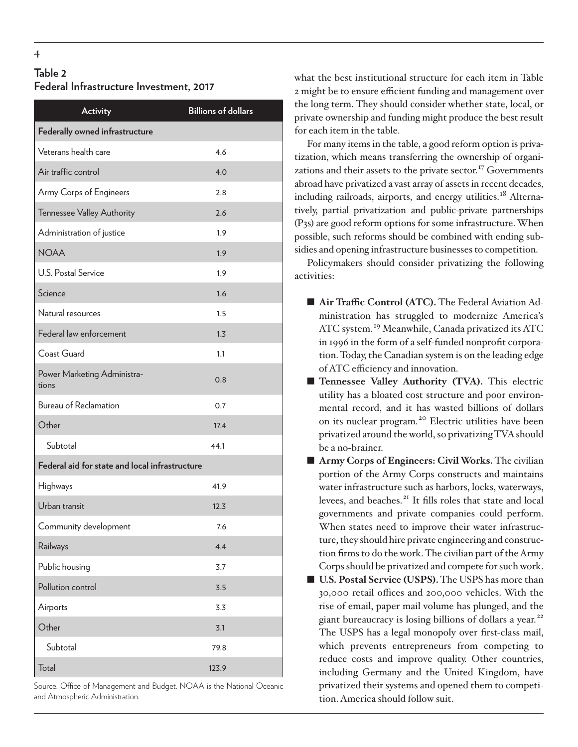## **Table 2 Federal Infrastructure Investment, 2017**

| <b>Activity</b>                                | <b>Billions of dollars</b> |  |
|------------------------------------------------|----------------------------|--|
| Federally owned infrastructure                 |                            |  |
| Veterans health care                           | 4.6                        |  |
| Air traffic control                            | 4.0                        |  |
| Army Corps of Engineers                        | 2.8                        |  |
| Tennessee Valley Authority                     | 2.6                        |  |
| Administration of justice                      | 1.9                        |  |
| <b>NOAA</b>                                    | 1.9                        |  |
| U.S. Postal Service                            | 1.9                        |  |
| Science                                        | 1.6                        |  |
| Natural resources                              | 1.5                        |  |
| Federal law enforcement                        | 1.3                        |  |
| Coast Guard                                    | 1.1                        |  |
| Power Marketing Administra-<br>tions           | 0.8                        |  |
| <b>Bureau of Reclamation</b>                   | 0.7                        |  |
| Other                                          | 17.4                       |  |
| Subtotal                                       | 44.1                       |  |
| Federal aid for state and local infrastructure |                            |  |
| Highways                                       | 41.9                       |  |
| Urban transit                                  | 12.3                       |  |
| Community development                          | 7.6                        |  |
| Railways                                       | 4.4                        |  |
| Public housing                                 | 3.7                        |  |
| Pollution control                              | 3.5                        |  |
| Airports                                       | 3.3                        |  |
| Other                                          | 3.1                        |  |
| Subtotal                                       | 79.8                       |  |
| Total                                          | 123.9                      |  |

Source: Office of Management and Budget. NOAA is the National Oceanic and Atmospheric Administration.

what the best institutional structure for each item in Table 2 might be to ensure efficient funding and management over the long term. They should consider whether state, local, or private ownership and funding might produce the best result for each item in the table.

For many items in the table, a good reform option is privatization, which means transferring the ownership of organi-zations and their assets to the private sector.<sup>[17](#page-6-3)</sup> Governments abroad have privatized a vast array of assets in recent decades, including railroads, airports, and energy utilities.<sup>[18](#page-6-4)</sup> Alternatively, partial privatization and public-private partnerships (P3s) are good reform options for some infrastructure. When possible, such reforms should be combined with ending subsidies and opening infrastructure businesses to competition.

Policymakers should consider privatizing the following activities:

- **Air Traffic Control (ATC).** The Federal Aviation Administration has struggled to modernize America's ATC system. [19](#page-6-5) Meanwhile, Canada privatized its ATC in 1996 in the form of a self-funded nonprofit corporation. Today, the Canadian system is on the leading edge of ATC efficiency and innovation.
- **Tennessee Valley Authority (TVA).** This electric utility has a bloated cost structure and poor environmental record, and it has wasted billions of dollars on its nuclear program. [20](#page-6-6) Electric utilities have been privatized around the world, so privatizing TVA should be a no-brainer.
- **Army Corps of Engineers: Civil Works.** The civilian portion of the Army Corps constructs and maintains water infrastructure such as harbors, locks, waterways, levees, and beaches.[21](#page-6-7) It fills roles that state and local governments and private companies could perform. When states need to improve their water infrastructure, they should hire private engineering and construction firms to do the work. The civilian part of the Army Corps should be privatized and compete for such work.
- **U.S. Postal Service (USPS).** The USPS has more than 30,000 retail offices and 200,000 vehicles. With the rise of email, paper mail volume has plunged, and the giant bureaucracy is losing billions of dollars a year. [22](#page-6-8) The USPS has a legal monopoly over first-class mail, which prevents entrepreneurs from competing to reduce costs and improve quality. Other countries, including Germany and the United Kingdom, have privatized their systems and opened them to competition. America should follow suit.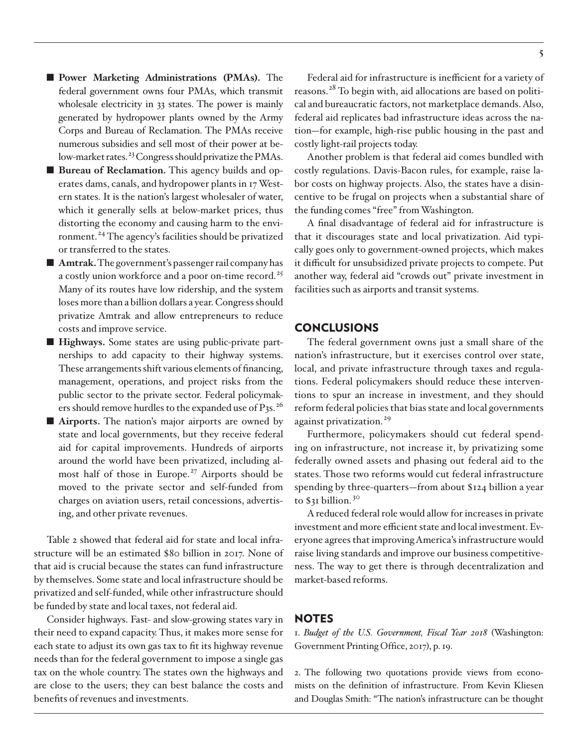- **Power Marketing Administrations (PMAs).** The federal government owns four PMAs, which transmit wholesale electricity in 33 states. The power is mainly generated by hydropower plants owned by the Army Corps and Bureau of Reclamation. The PMAs receive numerous subsidies and sell most of their power at below-market rates.<sup>23</sup> Congress should privatize the PMAs.
- **Bureau of Reclamation.** This agency builds and operates dams, canals, and hydropower plants in 17 Western states. It is the nation's largest wholesaler of water, which it generally sells at below-market prices, thus distorting the economy and causing harm to the environment. [24](#page-6-10) The agency's facilities should be privatized or transferred to the states.
- **Amtrak.** The government's passenger rail company has a costly union workforce and a poor on-time record.[25](#page-6-11) Many of its routes have low ridership, and the system loses more than a billion dollars a year. Congress should privatize Amtrak and allow entrepreneurs to reduce costs and improve service.
- **Highways.** Some states are using public-private partnerships to add capacity to their highway systems. These arrangements shift various elements of financing, management, operations, and project risks from the public sector to the private sector. Federal policymakers should remove hurdles to the expanded use of P3s.[26](#page-6-12)
- **Airports.** The nation's major airports are owned by state and local governments, but they receive federal aid for capital improvements. Hundreds of airports around the world have been privatized, including almost half of those in Europe.<sup>27</sup> Airports should be moved to the private sector and self-funded from charges on aviation users, retail concessions, advertising, and other private revenues.

Table 2 showed that federal aid for state and local infrastructure will be an estimated \$80 billion in 2017. None of that aid is crucial because the states can fund infrastructure by themselves. Some state and local infrastructure should be privatized and self-funded, while other infrastructure should be funded by state and local taxes, not federal aid.

Consider highways. Fast- and slow-growing states vary in their need to expand capacity. Thus, it makes more sense for each state to adjust its own gas tax to fit its highway revenue needs than for the federal government to impose a single gas tax on the whole country. The states own the highways and are close to the users; they can best balance the costs and benefits of revenues and investments.

Federal aid for infrastructure is inefficient for a variety of reasons. [28](#page-6-14) To begin with, aid allocations are based on political and bureaucratic factors, not marketplace demands. Also, federal aid replicates bad infrastructure ideas across the nation—for example, high-rise public housing in the past and costly light-rail projects today.

Another problem is that federal aid comes bundled with costly regulations. Davis-Bacon rules, for example, raise labor costs on highway projects. Also, the states have a disincentive to be frugal on projects when a substantial share of the funding comes "free" from Washington.

A final disadvantage of federal aid for infrastructure is that it discourages state and local privatization. Aid typically goes only to government-owned projects, which makes it difficult for unsubsidized private projects to compete. Put another way, federal aid "crowds out" private investment in facilities such as airports and transit systems.

#### **CONCLUSIONS**

The federal government owns just a small share of the nation's infrastructure, but it exercises control over state, local, and private infrastructure through taxes and regulations. Federal policymakers should reduce these interventions to spur an increase in investment, and they should reform federal policies that bias state and local governments against privatization. [29](#page-6-15)

Furthermore, policymakers should cut federal spending on infrastructure, not increase it, by privatizing some federally owned assets and phasing out federal aid to the states. Those two reforms would cut federal infrastructure spending by three-quarters—from about \$124 billion a year to \$31 billion.<sup>[30](#page-6-16)</sup>

A reduced federal role would allow for increases in private investment and more efficient state and local investment. Everyone agrees that improving America's infrastructure would raise living standards and improve our business competitiveness. The way to get there is through decentralization and market-based reforms.

#### **NOTES**

<span id="page-4-0"></span>1. *Budget of the U.S. Government, Fiscal Year 2018* (Washington: Government Printing Office, 2017), p. 19.

<span id="page-4-1"></span>2. The following two quotations provide views from economists on the definition of infrastructure. From Kevin Kliesen and Douglas Smith: "The nation's infrastructure can be thought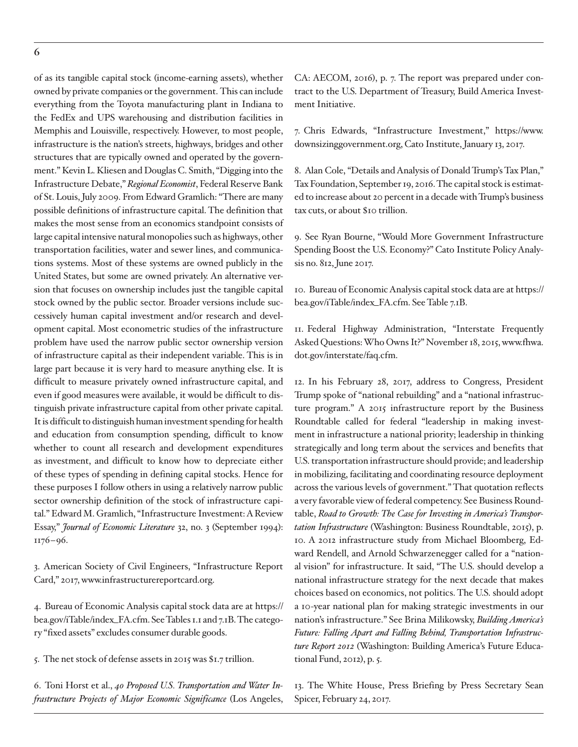of as its tangible capital stock (income-earning assets), whether owned by private companies or the government. This can include everything from the Toyota manufacturing plant in Indiana to the FedEx and UPS warehousing and distribution facilities in Memphis and Louisville, respectively. However, to most people, infrastructure is the nation's streets, highways, bridges and other structures that are typically owned and operated by the government." Kevin L. Kliesen and Douglas C. Smith, "Digging into the Infrastructure Debate," *Regional Economist*, Federal Reserve Bank of St. Louis, July 2009. From Edward Gramlich: "There are many possible definitions of infrastructure capital. The definition that makes the most sense from an economics standpoint consists of large capital intensive natural monopolies such as highways, other transportation facilities, water and sewer lines, and communications systems. Most of these systems are owned publicly in the United States, but some are owned privately. An alternative version that focuses on ownership includes just the tangible capital stock owned by the public sector. Broader versions include successively human capital investment and/or research and development capital. Most econometric studies of the infrastructure problem have used the narrow public sector ownership version of infrastructure capital as their independent variable. This is in large part because it is very hard to measure anything else. It is difficult to measure privately owned infrastructure capital, and even if good measures were available, it would be difficult to distinguish private infrastructure capital from other private capital. It is difficult to distinguish human investment spending for health and education from consumption spending, difficult to know whether to count all research and development expenditures as investment, and difficult to know how to depreciate either of these types of spending in defining capital stocks. Hence for these purposes I follow others in using a relatively narrow public sector ownership definition of the stock of infrastructure capital." Edward M. Gramlich, "Infrastructure Investment: A Review Essay," *Journal of Economic Literature* 32, no. 3 (September 1994): 1176–96.

<span id="page-5-0"></span>3. American Society of Civil Engineers, "Infrastructure Report Card," 2017, [www.infrastructurereportcard.org.](file:///C:/Users/Lindsay%20Donofrio/Google%20Drive/Lindsay/Briefs%20and%20Bulletins/Tax%20and%20Budget%20Bulletins/TBB%2078/www.infrastructurereportcard.org)

<span id="page-5-1"></span>4. Bureau of Economic Analysis capital stock data are at [https://](https://bea.gov/iTable/index_FA.cfm) [bea.gov/iTable/index\\_FA.cfm](https://bea.gov/iTable/index_FA.cfm). See Tables 1.1 and 7.1B. The category "fixed assets" excludes consumer durable goods.

<span id="page-5-2"></span>5. The net stock of defense assets in 2015 was \$1.7 trillion.

<span id="page-5-3"></span>6. Toni Horst et al., *40 Proposed U.S. Transportation and Water Infrastructure Projects of Major Economic Significance* (Los Angeles, CA: AECOM, 2016), p. 7. The report was prepared under contract to the U.S. Department of Treasury, Build America Investment Initiative.

<span id="page-5-4"></span>7. Chris Edwards, "Infrastructure Investment," [https://www.](https://www.downsizinggovernment.org) [downsizinggovernment.org](https://www.downsizinggovernment.org), Cato Institute, January 13, 2017.

<span id="page-5-5"></span>8. Alan Cole, "Details and Analysis of Donald Trump's Tax Plan," Tax Foundation, September 19, 2016. The capital stock is estimated to increase about 20 percent in a decade with Trump's business tax cuts, or about \$10 trillion.

<span id="page-5-6"></span>9. See Ryan Bourne, "Would More Government Infrastructure Spending Boost the U.S. Economy?" Cato Institute Policy Analysis no. 812, June 2017.

<span id="page-5-7"></span>10. Bureau of Economic Analysis capital stock data are at [https://](https://bea.gov/iTable/index_FA.cfm) [bea.gov/iTable/index\\_FA.cfm](https://bea.gov/iTable/index_FA.cfm). See Table 7.1B.

<span id="page-5-8"></span>11. Federal Highway Administration, "Interstate Frequently Asked Questions: Who Owns It?" November 18, 2015, [www.fhwa.](file:///C:/Users/Lindsay%20Donofrio/Google%20Drive/Lindsay/Briefs%20and%20Bulletins/Tax%20and%20Budget%20Bulletins/TBB%2078/www.fhwa.dot.gov/interstate/faq.cfm) [dot.gov/interstate/faq.cfm](file:///C:/Users/Lindsay%20Donofrio/Google%20Drive/Lindsay/Briefs%20and%20Bulletins/Tax%20and%20Budget%20Bulletins/TBB%2078/www.fhwa.dot.gov/interstate/faq.cfm).

<span id="page-5-9"></span>12. In his February 28, 2017, address to Congress, President Trump spoke of "national rebuilding" and a "national infrastructure program." A 2015 infrastructure report by the Business Roundtable called for federal "leadership in making investment in infrastructure a national priority; leadership in thinking strategically and long term about the services and benefits that U.S. transportation infrastructure should provide; and leadership in mobilizing, facilitating and coordinating resource deployment across the various levels of government." That quotation reflects a very favorable view of federal competency. See Business Roundtable, *Road to Growth: The Case for Investing in America's Transportation Infrastructure* (Washington: Business Roundtable, 2015), p. 10. A 2012 infrastructure study from Michael Bloomberg, Edward Rendell, and Arnold Schwarzenegger called for a "national vision" for infrastructure. It said, "The U.S. should develop a national infrastructure strategy for the next decade that makes choices based on economics, not politics. The U.S. should adopt a 10-year national plan for making strategic investments in our nation's infrastructure." See Brina Milikowsky, *Building America's Future: Falling Apart and Falling Behind, Transportation Infrastructure Report 2012* (Washington: Building America's Future Educational Fund, 2012), p. 5.

<span id="page-5-10"></span>13. The White House, Press Briefing by Press Secretary Sean Spicer, February 24, 2017.